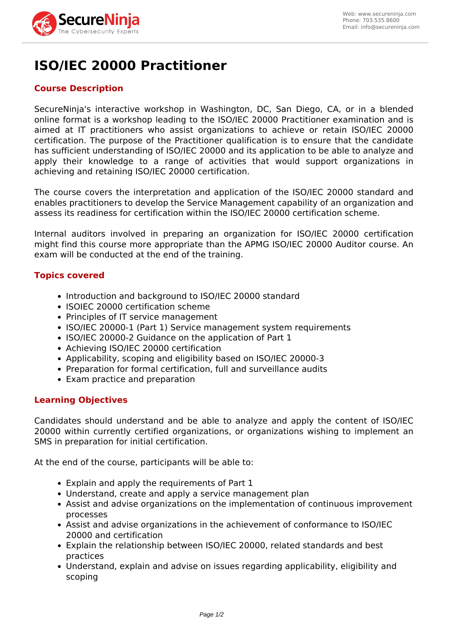

# **ISO/IEC 20000 Practitioner**

## **Course Description**

SecureNinja's interactive workshop in Washington, DC, San Diego, CA, or in a blended online format is a workshop leading to the ISO/IEC 20000 Practitioner examination and is aimed at IT practitioners who assist organizations to achieve or retain ISO/IEC 20000 certification. The purpose of the Practitioner qualification is to ensure that the candidate has sufficient understanding of ISO/IEC 20000 and its application to be able to analyze and apply their knowledge to a range of activities that would support organizations in achieving and retaining ISO/IEC 20000 certification.

The course covers the interpretation and application of the ISO/IEC 20000 standard and enables practitioners to develop the Service Management capability of an organization and assess its readiness for certification within the ISO/IEC 20000 certification scheme.

Internal auditors involved in preparing an organization for ISO/IEC 20000 certification might find this course more appropriate than the APMG ISO/IEC 20000 Auditor course. An exam will be conducted at the end of the training.

#### **Topics covered**

- Introduction and background to ISO/IEC 20000 standard
- ISOIEC 20000 certification scheme
- Principles of IT service management
- ISO/IEC 20000-1 (Part 1) Service management system requirements
- ISO/IEC 20000-2 Guidance on the application of Part 1
- Achieving ISO/IEC 20000 certification
- Applicability, scoping and eligibility based on ISO/IEC 20000-3
- Preparation for formal certification, full and surveillance audits
- Exam practice and preparation

#### **Learning Objectives**

Candidates should understand and be able to analyze and apply the content of ISO/IEC 20000 within currently certified organizations, or organizations wishing to implement an SMS in preparation for initial certification.

At the end of the course, participants will be able to:

- Explain and apply the requirements of Part 1
- Understand, create and apply a service management plan
- Assist and advise organizations on the implementation of continuous improvement processes
- Assist and advise organizations in the achievement of conformance to ISO/IEC 20000 and certification
- Explain the relationship between ISO/IEC 20000, related standards and best practices
- Understand, explain and advise on issues regarding applicability, eligibility and scoping